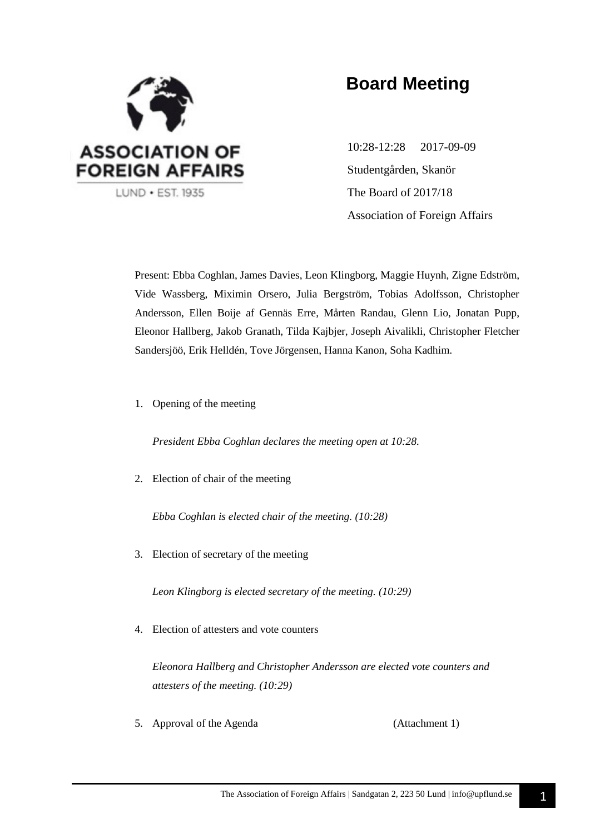

# **Board Meeting**

10:28-12:28 2017-09-09 Studentgården, Skanör The Board of 2017/18 Association of Foreign Affairs

Present: Ebba Coghlan, James Davies, Leon Klingborg, Maggie Huynh, Zigne Edström, Vide Wassberg, Miximin Orsero, Julia Bergström, Tobias Adolfsson, Christopher Andersson, Ellen Boije af Gennäs Erre, Mårten Randau, Glenn Lio, Jonatan Pupp, Eleonor Hallberg, Jakob Granath, Tilda Kajbjer, Joseph Aivalikli, Christopher Fletcher Sandersjöö, Erik Helldén, Tove Jörgensen, Hanna Kanon, Soha Kadhim.

1. Opening of the meeting

*President Ebba Coghlan declares the meeting open at 10:28.*

2. Election of chair of the meeting

*Ebba Coghlan is elected chair of the meeting. (10:28)*

3. Election of secretary of the meeting

*Leon Klingborg is elected secretary of the meeting. (10:29)*

4. Election of attesters and vote counters

*Eleonora Hallberg and Christopher Andersson are elected vote counters and attesters of the meeting. (10:29)*

5. Approval of the Agenda (Attachment 1)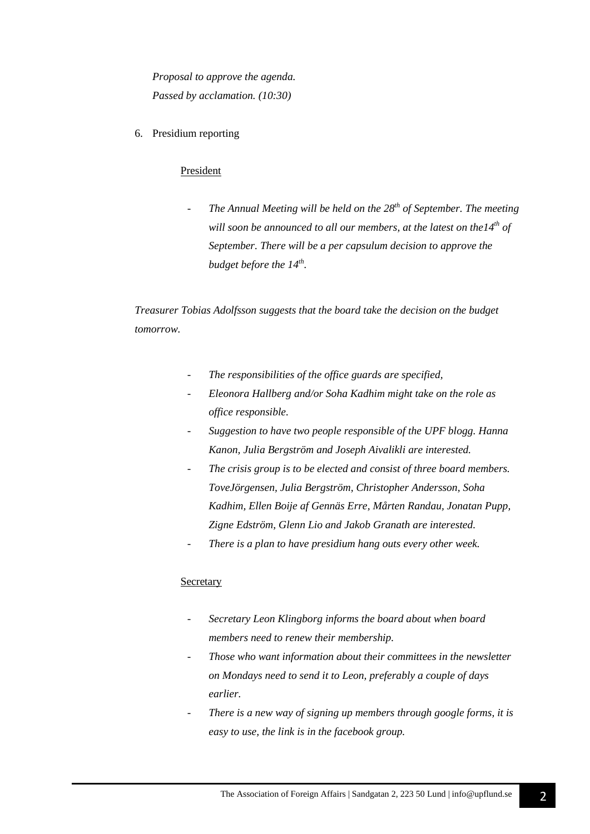*Proposal to approve the agenda. Passed by acclamation. (10:30)*

6. Presidium reporting

### President

*- The Annual Meeting will be held on the 28th of September. The meeting will soon be announced to all our members, at the latest on the14th of September. There will be a per capsulum decision to approve the budget before the 14th .*

*Treasurer Tobias Adolfsson suggests that the board take the decision on the budget tomorrow.*

- *- The responsibilities of the office guards are specified,*
- *- Eleonora Hallberg and/or Soha Kadhim might take on the role as office responsible.*
- *- Suggestion to have two people responsible of the UPF blogg. Hanna Kanon, Julia Bergström and Joseph Aivalikli are interested.*
- *- The crisis group is to be elected and consist of three board members. ToveJörgensen, Julia Bergström, Christopher Andersson, Soha Kadhim, Ellen Boije af Gennäs Erre, Mårten Randau, Jonatan Pupp, Zigne Edström, Glenn Lio and Jakob Granath are interested.*
- *- There is a plan to have presidium hang outs every other week.*

### **Secretary**

- *Secretary Leon Klingborg informs the board about when board members need to renew their membership.*
- *Those who want information about their committees in the newsletter on Mondays need to send it to Leon, preferably a couple of days earlier.*
- There is a new way of signing up members through google forms, it is *easy to use, the link is in the facebook group.*

2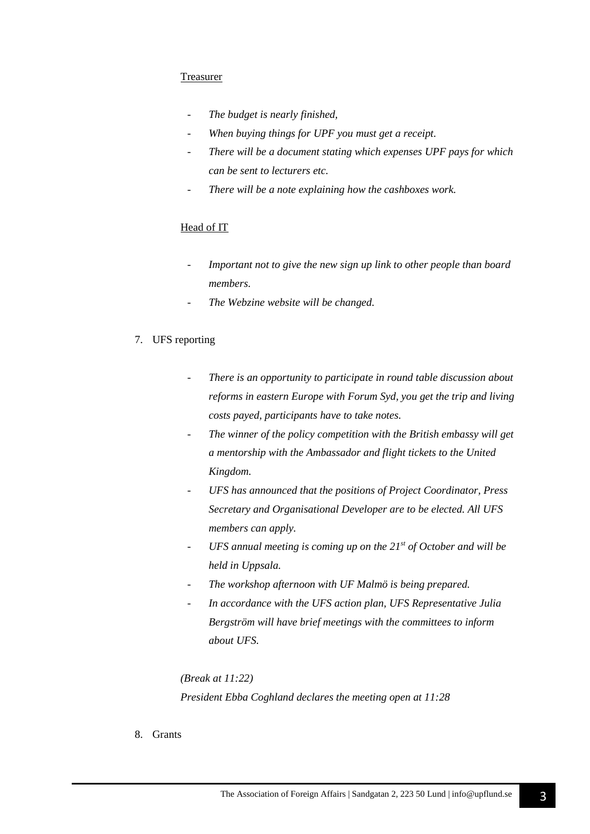### **Treasurer**

- *The budget is nearly finished,*
- *When buying things for UPF you must get a receipt.*
- *There will be a document stating which expenses UPF pays for which can be sent to lecturers etc.*
- There will be a note explaining how the cashboxes work.

### Head of IT

- *- Important not to give the new sign up link to other people than board members.*
- *- The Webzine website will be changed.*

#### 7. UFS reporting

- *- There is an opportunity to participate in round table discussion about reforms in eastern Europe with Forum Syd, you get the trip and living costs payed, participants have to take notes.*
- *- The winner of the policy competition with the British embassy will get a mentorship with the Ambassador and flight tickets to the United Kingdom.*
- *- UFS has announced that the positions of Project Coordinator, Press Secretary and Organisational Developer are to be elected. All UFS members can apply.*
- *UFS annual meeting is coming up on the 21st of October and will be held in Uppsala.*
- The workshop afternoon with UF Malmö is being prepared.
- *In accordance with the UFS action plan, UFS Representative Julia Bergström will have brief meetings with the committees to inform about UFS.*

*(Break at 11:22) President Ebba Coghland declares the meeting open at 11:28*

8. Grants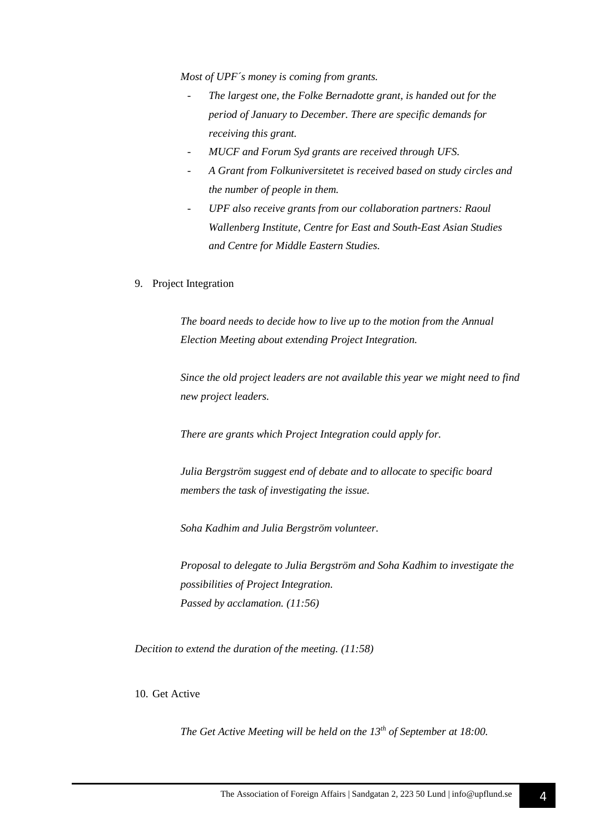*Most of UPF´s money is coming from grants.* 

- *The largest one, the Folke Bernadotte grant, is handed out for the period of January to December. There are specific demands for receiving this grant.*
- *MUCF and Forum Syd grants are received through UFS.*
- *A Grant from Folkuniversitetet is received based on study circles and the number of people in them.*
- *UPF also receive grants from our collaboration partners: Raoul Wallenberg Institute, Centre for East and South-East Asian Studies and Centre for Middle Eastern Studies.*
- 9. Project Integration

*The board needs to decide how to live up to the motion from the Annual Election Meeting about extending Project Integration.*

*Since the old project leaders are not available this year we might need to find new project leaders.* 

*There are grants which Project Integration could apply for.* 

*Julia Bergström suggest end of debate and to allocate to specific board members the task of investigating the issue.*

*Soha Kadhim and Julia Bergström volunteer.*

*Proposal to delegate to Julia Bergström and Soha Kadhim to investigate the possibilities of Project Integration. Passed by acclamation. (11:56)*

*Decition to extend the duration of the meeting. (11:58)*

10. Get Active

*The Get Active Meeting will be held on the 13th of September at 18:00.*

4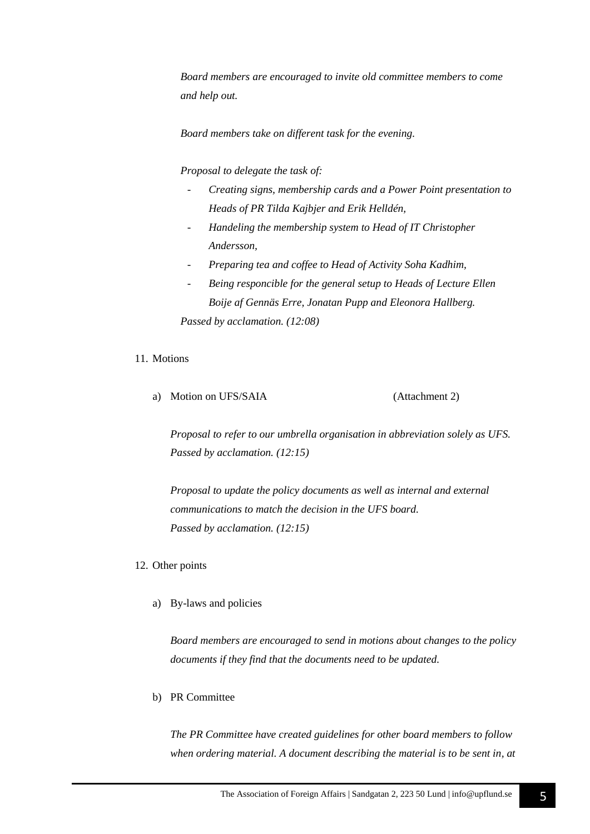*Board members are encouraged to invite old committee members to come and help out.*

*Board members take on different task for the evening.*

*Proposal to delegate the task of:* 

- *- Creating signs, membership cards and a Power Point presentation to Heads of PR Tilda Kajbjer and Erik Helldén,*
- *- Handeling the membership system to Head of IT Christopher Andersson,*
- *- Preparing tea and coffee to Head of Activity Soha Kadhim,*
- *- Being responcible for the general setup to Heads of Lecture Ellen Boije af Gennäs Erre, Jonatan Pupp and Eleonora Hallberg. Passed by acclamation. (12:08)*

### 11. Motions

a) Motion on UFS/SAIA (Attachment 2)

*Proposal to refer to our umbrella organisation in abbreviation solely as UFS. Passed by acclamation. (12:15)*

*Proposal to update the policy documents as well as internal and external communications to match the decision in the UFS board. Passed by acclamation. (12:15)*

- 12. Other points
	- a) By-laws and policies

*Board members are encouraged to send in motions about changes to the policy documents if they find that the documents need to be updated.* 

b) PR Committee

*The PR Committee have created guidelines for other board members to follow when ordering material. A document describing the material is to be sent in, at*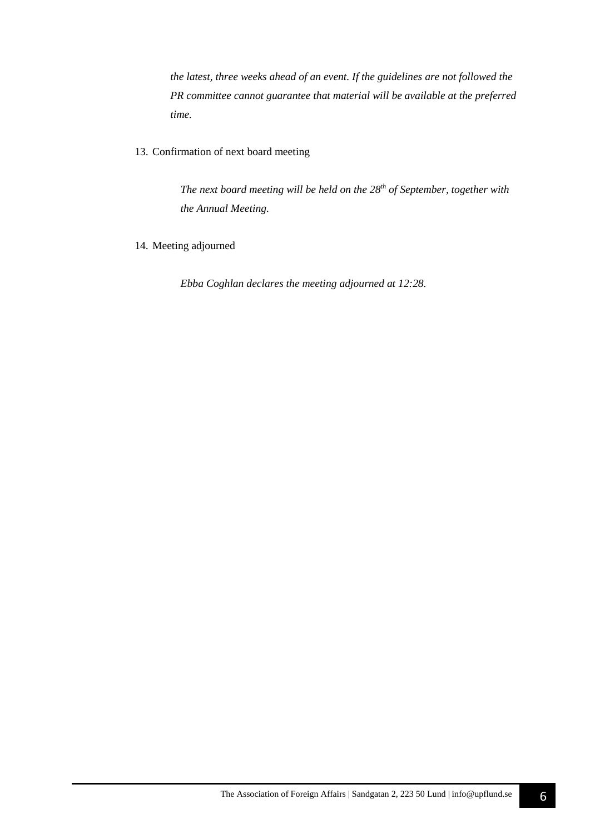*the latest, three weeks ahead of an event. If the guidelines are not followed the PR committee cannot guarantee that material will be available at the preferred time.*

13. Confirmation of next board meeting

*The next board meeting will be held on the 28th of September, together with the Annual Meeting.*

14. Meeting adjourned

*Ebba Coghlan declares the meeting adjourned at 12:28.*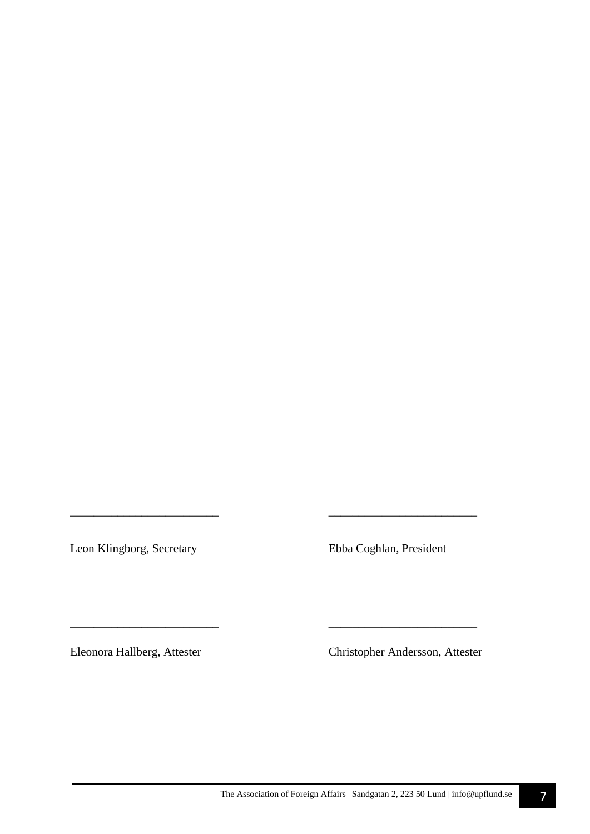Leon Klingborg, Secretary Ebba Coghlan, President

*\_\_\_\_\_\_\_\_\_\_\_\_\_\_\_\_\_\_\_\_\_\_\_\_\_ \_\_\_\_\_\_\_\_\_\_\_\_\_\_\_\_\_\_\_\_\_\_\_\_\_* 

\_\_\_\_\_\_\_\_\_\_\_\_\_\_\_\_\_\_\_\_\_\_\_\_\_ \_\_\_\_\_\_\_\_\_\_\_\_\_\_\_\_\_\_\_\_\_\_\_\_\_

Eleonora Hallberg, Attester Christopher Andersson, Attester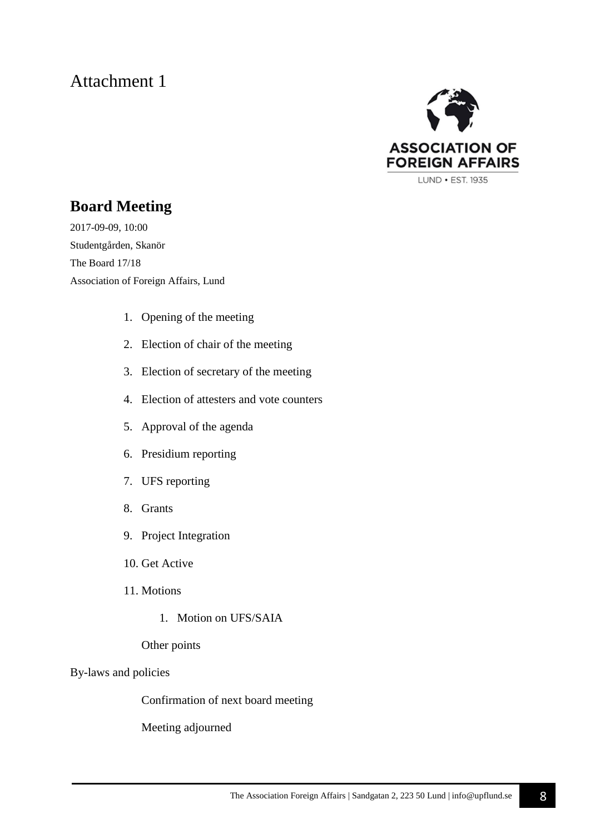# Attachment 1



### **Board Meeting**

2017-09-09, 10:00 Studentgården, Skanör The Board 17/18 Association of Foreign Affairs, Lund

- 1. Opening of the meeting
- 2. Election of chair of the meeting
- 3. Election of secretary of the meeting
- 4. Election of attesters and vote counters
- 5. Approval of the agenda
- 6. Presidium reporting
- 7. UFS reporting
- 8. Grants
- 9. Project Integration
- 10. Get Active
- 11. Motions
	- 1. Motion on UFS/SAIA

### Other points

### By-laws and policies

Confirmation of next board meeting

Meeting adjourned